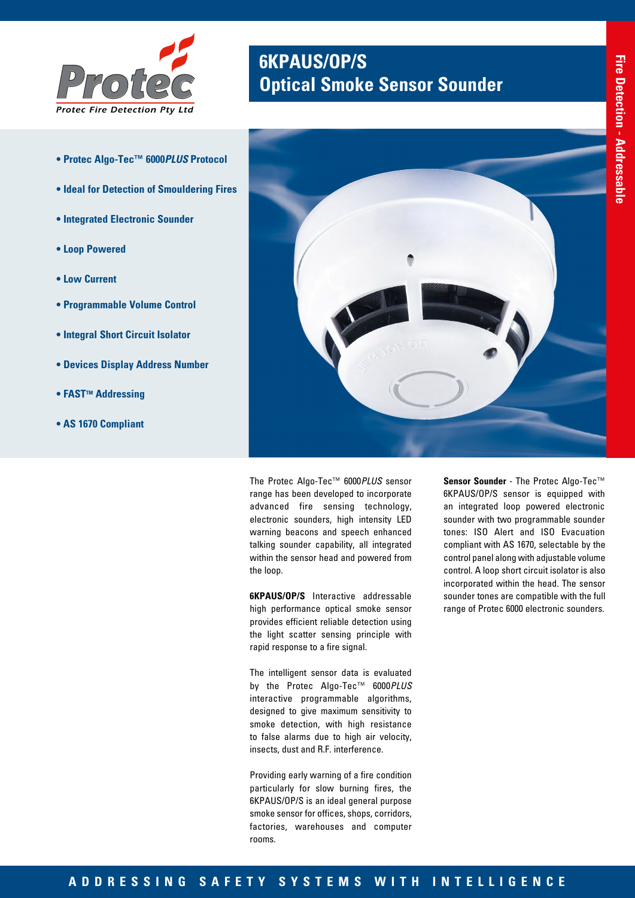

- **Protec Algo-Tec™ 6000***PLUS* **Protocol**
- **Ideal for Detection of Smouldering Fires**
- **Integrated Electronic Sounder**
- **Loop Powered**
- **Low Current**
- **Programmable Volume Control**
- **Integral Short Circuit Isolator**
- **Devices Display Address Number**
- **FAST<sup>™</sup> Addressing**
- **AS 1670 Compliant**

# **6KPAUS/OP/S** *Protec* **Optical Smoke Sensor Sounder**



The Protec Algo-Tec™ 6000*PLUS* sensor range has been developed to incorporate advanced fire sensing technology, electronic sounders, high intensity LED warning beacons and speech enhanced talking sounder capability, all integrated within the sensor head and powered from the loop.

**6KPAUS/OP/S** Interactive addressable high performance optical smoke sensor provides efficient reliable detection using the light scatter sensing principle with rapid response to a fire signal.

The intelligent sensor data is evaluated by the Protec Algo-Tec™ 6000*PLUS* interactive programmable algorithms, designed to give maximum sensitivity to smoke detection, with high resistance to false alarms due to high air velocity, insects, dust and R.F. interference.

Providing early warning of a fire condition particularly for slow burning fires, the 6KPAUS/OP/S is an ideal general purpose smoke sensor for offices, shops, corridors, factories, warehouses and computer rooms.

**Sensor Sounder** - The Protec Algo-Tec™ 6KPAUS/OP/S sensor is equipped with an integrated loop powered electronic sounder with two programmable sounder tones: ISO Alert and ISO Evacuation compliant with AS 1670, selectable by the control panel along with adjustable volume control. A loop short circuit isolator is also incorporated within the head. The sensor sounder tones are compatible with the full range of Protec 6000 electronic sounders.